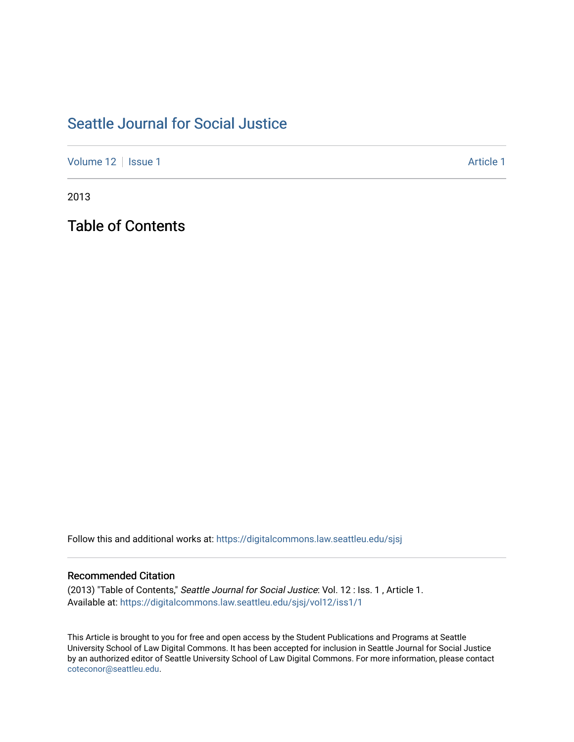## [Seattle Journal for Social Justice](https://digitalcommons.law.seattleu.edu/sjsj)

[Volume 12](https://digitalcommons.law.seattleu.edu/sjsj/vol12) | [Issue 1](https://digitalcommons.law.seattleu.edu/sjsj/vol12/iss1) Article 1

2013

Table of Contents

Follow this and additional works at: [https://digitalcommons.law.seattleu.edu/sjsj](https://digitalcommons.law.seattleu.edu/sjsj?utm_source=digitalcommons.law.seattleu.edu%2Fsjsj%2Fvol12%2Fiss1%2F1&utm_medium=PDF&utm_campaign=PDFCoverPages)

### Recommended Citation

(2013) "Table of Contents," Seattle Journal for Social Justice: Vol. 12 : Iss. 1 , Article 1. Available at: [https://digitalcommons.law.seattleu.edu/sjsj/vol12/iss1/1](https://digitalcommons.law.seattleu.edu/sjsj/vol12/iss1/1?utm_source=digitalcommons.law.seattleu.edu%2Fsjsj%2Fvol12%2Fiss1%2F1&utm_medium=PDF&utm_campaign=PDFCoverPages)

This Article is brought to you for free and open access by the Student Publications and Programs at Seattle University School of Law Digital Commons. It has been accepted for inclusion in Seattle Journal for Social Justice by an authorized editor of Seattle University School of Law Digital Commons. For more information, please contact [coteconor@seattleu.edu.](mailto:coteconor@seattleu.edu)